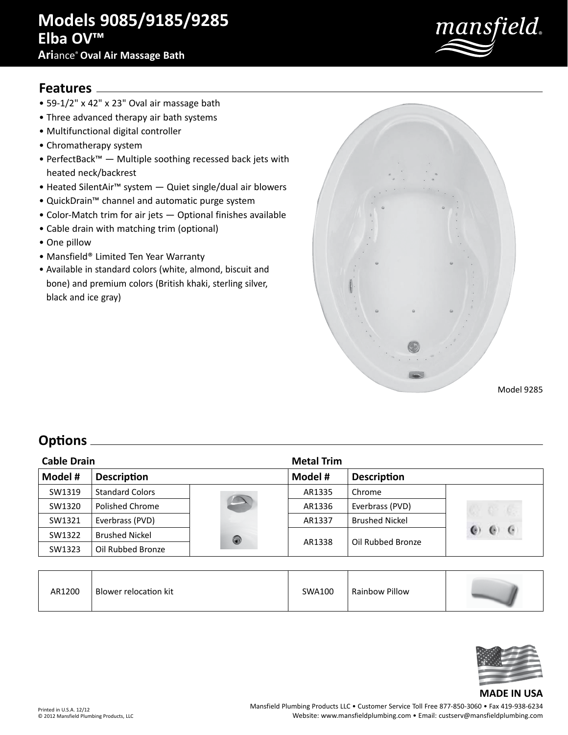# **Models 9085/9185/9285 Elba OV™**

#### **Ari**ance®**Oval Air Massage Bath**



#### **Features**

- 59-1/2" x 42" x 23" Oval air massage bath
- Three advanced therapy air bath systems
- Multifunctional digital controller
- Chromatherapy system
- PerfectBack™ Multiple soothing recessed back jets with heated neck/backrest
- Heated SilentAir™ system Quiet single/dual air blowers
- QuickDrain™ channel and automatic purge system
- Color-Match trim for air jets Optional finishes available
- Cable drain with matching trim (optional)
- One pillow
- Mansfield® Limited Ten Year Warranty
- Available in standard colors (white, almond, biscuit and bone) and premium colors (British khaki, sterling silver, black and ice gray)



Model 9285

## **Options**

| <b>Cable Drain</b> |                        |   | <b>Metal Trim</b> |                       |         |
|--------------------|------------------------|---|-------------------|-----------------------|---------|
| Model #            | <b>Description</b>     |   | Model #           | <b>Description</b>    |         |
| SW1319             | <b>Standard Colors</b> |   | AR1335            | Chrome                |         |
| SW1320             | Polished Chrome        |   | AR1336            | Everbrass (PVD)       |         |
| SW1321             | Everbrass (PVD)        |   | AR1337            | <b>Brushed Nickel</b> |         |
| SW1322             | <b>Brushed Nickel</b>  | 0 | AR1338            | Oil Rubbed Bronze     | $\cdot$ |
| SW1323             | Oil Rubbed Bronze      |   |                   |                       |         |

| AR1200 | Blower relocation kit | SWA100 | Rainbow Pillow |  |
|--------|-----------------------|--------|----------------|--|
|        |                       |        |                |  |